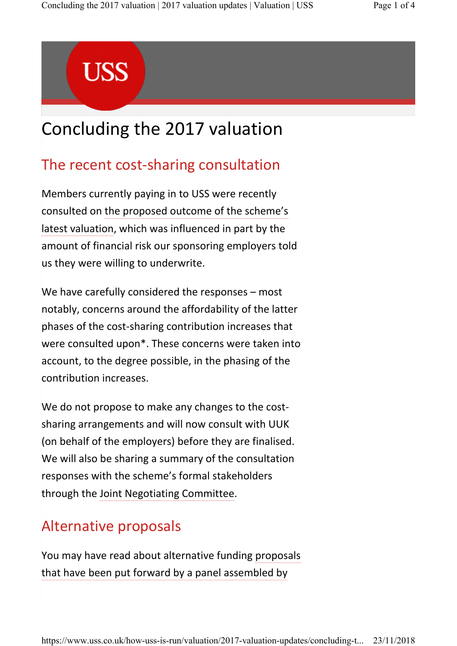# **USS**

# Concluding the 2017 valuation

## The recent cost-sharing consultation

Members currently paying in to USS were recently consulted on the proposed outcome of the scheme's latest valuation, which was influenced in part by the amount of financial risk our sponsoring employers told us they were willing to underwrite.

We have carefully considered the responses – most notably, concerns around the affordability of the latter phases of the cost-sharing contribution increases that were consulted upon\*. These concerns were taken into account, to the degree possible, in the phasing of the contribution increases.

We do not propose to make any changes to the costsharing arrangements and will now consult with UUK (on behalf of the employers) before they are finalised. We will also be sharing a summary of the consultation responses with the scheme's formal stakeholders through the Joint Negotiating Committee.

## Alternative proposals

You may have read about alternative funding proposals that have been put forward by a panel assembled by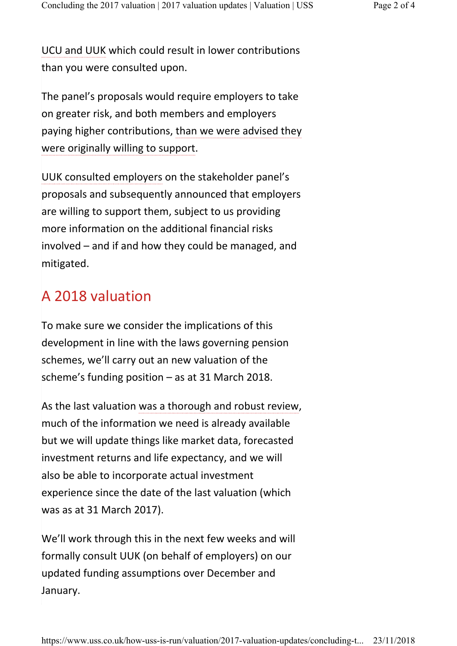UCU and UUK which could result in lower contributions than you were consulted upon.

The panel's proposals would require employers to take on greater risk, and both members and employers paying higher contributions, than we were advised they were originally willing to support.

UUK consulted employers on the stakeholder panel's proposals and subsequently announced that employers are willing to support them, subject to us providing more information on the additional financial risks involved – and if and how they could be managed, and mitigated.

#### A 2018 valuation

To make sure we consider the implications of this development in line with the laws governing pension schemes, we'll carry out an new valuation of the scheme's funding position – as at 31 March 2018.

As the last valuation was a thorough and robust review, much of the information we need is already available but we will update things like market data, forecasted investment returns and life expectancy, and we will also be able to incorporate actual investment experience since the date of the last valuation (which was as at 31 March 2017).

We'll work through this in the next few weeks and will formally consult UUK (on behalf of employers) on our updated funding assumptions over December and January.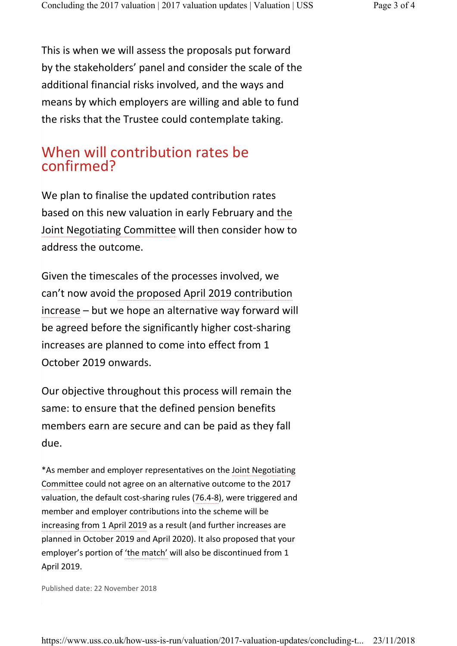This is when we will assess the proposals put forward by the stakeholders' panel and consider the scale of the additional financial risks involved, and the ways and means by which employers are willing and able to fund the risks that the Trustee could contemplate taking.

#### When will contribution rates be confirmed?

We plan to finalise the updated contribution rates based on this new valuation in early February and the Joint Negotiating Committee will then consider how to address the outcome.

Given the timescales of the processes involved, we can't now avoid the proposed April 2019 contribution increase – but we hope an alternative way forward will be agreed before the significantly higher cost-sharing increases are planned to come into effect from 1 October 2019 onwards.

Our objective throughout this process will remain the same: to ensure that the defined pension benefits members earn are secure and can be paid as they fall due.

\*As member and employer representatives on the Joint Negotiating Committee could not agree on an alternative outcome to the 2017 valuation, the default cost-sharing rules (76.4-8), were triggered and member and employer contributions into the scheme will be increasing from 1 April 2019 as a result (and further increases are planned in October 2019 and April 2020). It also proposed that your employer's portion of 'the match' will also be discontinued from 1 April 2019.

Published date: 22 November 2018